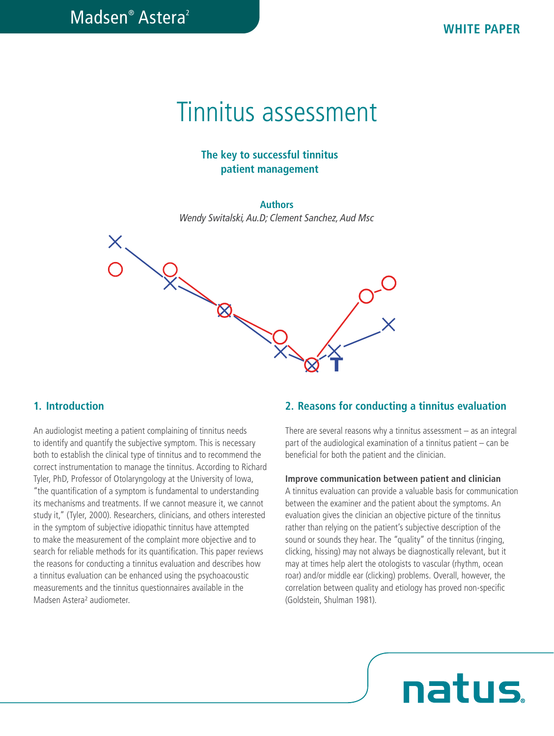# Tinnitus assessment

## **The key to successful tinnitus patient management**

#### **Authors**

*Wendy Switalski, Au.D; Clement Sanchez, Aud Msc*



### **1. Introduction**

to make the measurement of the complaint more objective and to<br>search for reliable methods for its quantification. This paper reviews study it," (Tyler, 2000). Researchers, clinicians, and others interested<br>in the augustas of orbitative idioactic time in the property of An audiologist meeting a patient complaining of tinnitus needs to identify and quantify the subjective symptom. This is necessary both to establish the clinical type of tinnitus and to recommend the correct instrumentation to manage the tinnitus. According to Richard Tyler, PhD, Professor of Otolaryngology at the University of Iowa, "the quantification of a symptom is fundamental to understanding its mechanisms and treatments. If we cannot measure it, we cannot in the symptom of subjective idiopathic tinnitus have attempted to make the measurement of the complaint more objective and to the reasons for conducting a tinnitus evaluation and describes how a tinnitus evaluation can be enhanced using the psychoacoustic measurements and the tinnitus questionnaires available in the Madsen Astera² audiometer.

# **2. Reasons for conducting a tinnitus evaluation**

There are several reasons why a tinnitus assessment  $-$  as an integral part of the audiological examination of a tinnitus patient – can be beneficial for both the patient and the clinician.

#### **Improve communication between patient and clinician**

U A tinnitus evaluation can provide a valuable basis for communication between the examiner and the patient about the symptoms. An evaluation gives the clinician an objective picture of the tinnitus rather than relying on the patient's subjective description of the sound or sounds they hear. The "quality" of the tinnitus (ringing, clicking, hissing) may not always be diagnostically relevant, but it may at times help alert the otologists to vascular (rhythm, ocean roar) and/or middle ear (clicking) problems. Overall, however, the correlation between quality and etiology has proved non-specific (Goldstein, Shulman 1981).

# natus.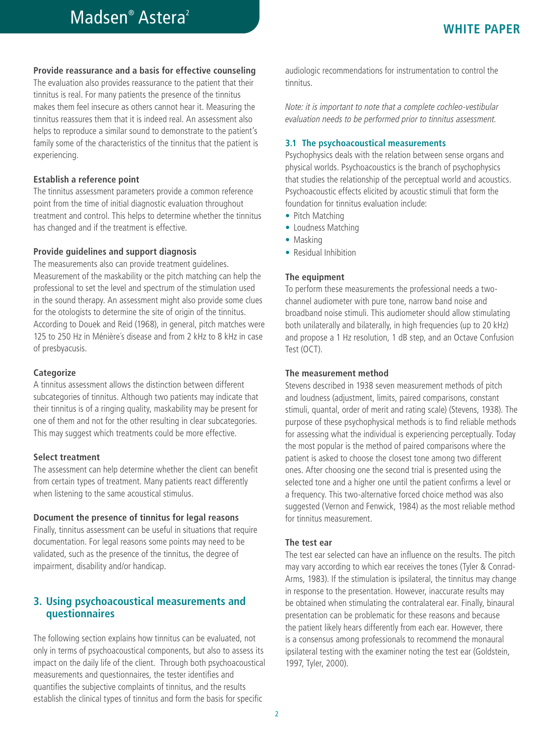#### **Provide reassurance and a basis for effective counseling**

The evaluation also provides reassurance to the patient that their tinnitus is real. For many patients the presence of the tinnitus makes them feel insecure as others cannot hear it. Measuring the tinnitus reassures them that it is indeed real. An assessment also helps to reproduce a similar sound to demonstrate to the patient's family some of the characteristics of the tinnitus that the patient is experiencing.

#### **Establish a reference point**

The tinnitus assessment parameters provide a common reference point from the time of initial diagnostic evaluation throughout treatment and control. This helps to determine whether the tinnitus has changed and if the treatment is effective.

#### **Provide guidelines and support diagnosis**

The measurements also can provide treatment guidelines. Measurement of the maskability or the pitch matching can help the professional to set the level and spectrum of the stimulation used in the sound therapy. An assessment might also provide some clues for the otologists to determine the site of origin of the tinnitus. According to Douek and Reid (1968), in general, pitch matches were 125 to 250 Hz in Ménière´s disease and from 2 kHz to 8 kHz in case of presbyacusis.

#### **Categorize**

A tinnitus assessment allows the distinction between different subcategories of tinnitus. Although two patients may indicate that their tinnitus is of a ringing quality, maskability may be present for one of them and not for the other resulting in clear subcategories. This may suggest which treatments could be more effective.

#### **Select treatment**

The assessment can help determine whether the client can benefit from certain types of treatment. Many patients react differently when listening to the same acoustical stimulus.

#### **Document the presence of tinnitus for legal reasons**

Finally, tinnitus assessment can be useful in situations that require documentation. For legal reasons some points may need to be validated, such as the presence of the tinnitus, the degree of impairment, disability and/or handicap.

## **3. Using psychoacoustical measurements and questionnaires**

The following section explains how tinnitus can be evaluated, not only in terms of psychoacoustical components, but also to assess its impact on the daily life of the client. Through both psychoacoustical measurements and questionnaires, the tester identifies and quantifies the subjective complaints of tinnitus, and the results establish the clinical types of tinnitus and form the basis for specific

audiologic recommendations for instrumentation to control the tinnitus.

*Note: it is important to note that a complete cochleo-vestibular evaluation needs to be performed prior to tinnitus assessment.* 

#### **3.1 The psychoacoustical measurements**

Psychophysics deals with the relation between sense organs and physical worlds. Psychoacoustics is the branch of psychophysics that studies the relationship of the perceptual world and acoustics. Psychoacoustic effects elicited by acoustic stimuli that form the foundation for tinnitus evaluation include:

- **•** Pitch Matching
- **•** Loudness Matching
- **•** Masking
- **•** Residual Inhibition

#### **The equipment**

To perform these measurements the professional needs a twochannel audiometer with pure tone, narrow band noise and broadband noise stimuli. This audiometer should allow stimulating both unilaterally and bilaterally, in high frequencies (up to 20 kHz) and propose a 1 Hz resolution, 1 dB step, and an Octave Confusion Test (OCT).

#### **The measurement method**

Stevens described in 1938 seven measurement methods of pitch and loudness (adjustment, limits, paired comparisons, constant stimuli, quantal, order of merit and rating scale) (Stevens, 1938). The purpose of these psychophysical methods is to find reliable methods for assessing what the individual is experiencing perceptually. Today the most popular is the method of paired comparisons where the patient is asked to choose the closest tone among two different ones. After choosing one the second trial is presented using the selected tone and a higher one until the patient confirms a level or a frequency. This two-alternative forced choice method was also suggested (Vernon and Fenwick, 1984) as the most reliable method for tinnitus measurement.

#### **The test ear**

The test ear selected can have an influence on the results. The pitch may vary according to which ear receives the tones (Tyler & Conrad-Arms, 1983). If the stimulation is ipsilateral, the tinnitus may change in response to the presentation. However, inaccurate results may be obtained when stimulating the contralateral ear. Finally, binaural presentation can be problematic for these reasons and because the patient likely hears differently from each ear. However, there is a consensus among professionals to recommend the monaural ipsilateral testing with the examiner noting the test ear (Goldstein, 1997, Tyler, 2000).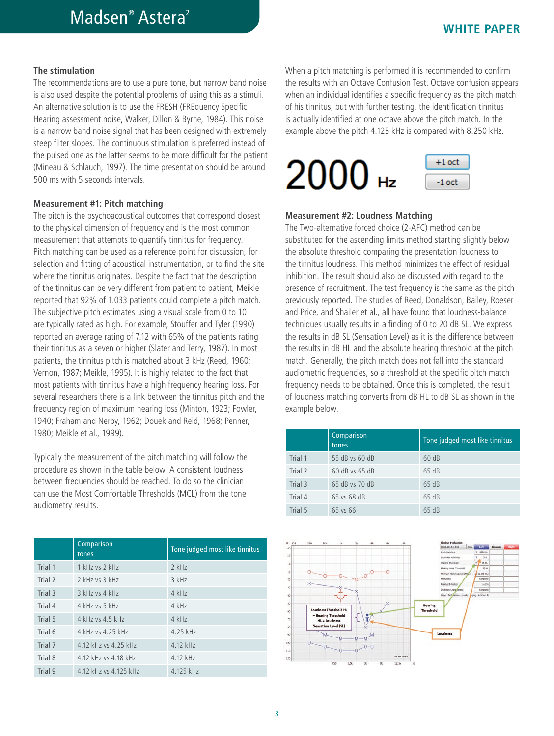#### **The stimulation**

The recommendations are to use a pure tone, but narrow band noise is also used despite the potential problems of using this as a stimuli. An alternative solution is to use the FRESH (FREquency Specific Hearing assessment noise, Walker, Dillon & Byrne, 1984). This noise is a narrow band noise signal that has been designed with extremely steep filter slopes. The continuous stimulation is preferred instead of the pulsed one as the latter seems to be more difficult for the patient (Mineau & Schlauch, 1997). The time presentation should be around 500 ms with 5 seconds intervals.

#### **Measurement #1: Pitch matching**

The pitch is the psychoacoustical outcomes that correspond closest to the physical dimension of frequency and is the most common measurement that attempts to quantify tinnitus for frequency. Pitch matching can be used as a reference point for discussion, for selection and fitting of acoustical instrumentation, or to find the site where the tinnitus originates. Despite the fact that the description of the tinnitus can be very different from patient to patient, Meikle reported that 92% of 1.033 patients could complete a pitch match. The subjective pitch estimates using a visual scale from 0 to 10 are typically rated as high. For example, Stouffer and Tyler (1990) reported an average rating of 7.12 with 65% of the patients rating their tinnitus as a seven or higher (Slater and Terry, 1987). In most patients, the tinnitus pitch is matched about 3 kHz (Reed, 1960; Vernon, 1987; Meikle, 1995). It is highly related to the fact that most patients with tinnitus have a high frequency hearing loss. For several researchers there is a link between the tinnitus pitch and the frequency region of maximum hearing loss (Minton, 1923; Fowler, 1940; Fraham and Nerby, 1962; Douek and Reid, 1968; Penner, 1980; Meikle et al., 1999).

Typically the measurement of the pitch matching will follow the procedure as shown in the table below. A consistent loudness between frequencies should be reached. To do so the clinician can use the Most Comfortable Thresholds (MCL) from the tone audiometry results.

|         | Comparison<br>tones   | Tone judged most like tinnitus |
|---------|-----------------------|--------------------------------|
| Trial 1 | 1 kHz vs 2 kHz        | $2$ kHz                        |
| Trial 2 | 2 kHz vs 3 kHz        | $3$ kHz                        |
| Trial 3 | $3$ kHz vs $4$ kHz    | 4 kHz                          |
| Trial 4 | 4 kHz vs 5 kHz        | 4 kHz                          |
| Trial 5 | 4 kHz vs 4 5 kHz      | 4 kHz                          |
| Trial 6 | 4 kHz vs 4.25 kHz     | 4.25 kHz                       |
| Trial 7 | 4.12 kHz vs 4.25 kHz  | 4.12 kHz                       |
| Trial 8 | 4.12 kHz vs 4.18 kHz  | 4.12 kHz                       |
| Trial 9 | 4.12 kHz vs 4.125 kHz | 4.125 kHz                      |

When a pitch matching is performed it is recommended to confirm the results with an Octave Confusion Test. Octave confusion appears when an individual identifies a specific frequency as the pitch match of his tinnitus; but with further testing, the identification tinnitus is actually identified at one octave above the pitch match. In the example above the pitch 4.125 kHz is compared with 8.250 kHz.



#### **Measurement #2: Loudness Matching**

The Two-alternative forced choice (2-AFC) method can be substituted for the ascending limits method starting slightly below the absolute threshold comparing the presentation loudness to the tinnitus loudness. This method minimizes the effect of residual inhibition. The result should also be discussed with regard to the presence of recruitment. The test frequency is the same as the pitch previously reported. The studies of Reed, Donaldson, Bailey, Roeser and Price, and Shailer et al., all have found that loudness-balance techniques usually results in a finding of 0 to 20 dB SL. We express the results in dB SL (Sensation Level) as it is the difference between the results in dB HL and the absolute hearing threshold at the pitch match. Generally, the pitch match does not fall into the standard audiometric frequencies, so a threshold at the specific pitch match frequency needs to be obtained. Once this is completed, the result of loudness matching converts from dB HL to dB SL as shown in the example below.

|         | Comparison<br>tones | Tone judged most like tinnitus |
|---------|---------------------|--------------------------------|
| Trial 1 | 55 dB vs 60 dB      | 60dB                           |
| Trial 2 | 60 dB vs 65 dB      | 65 dB                          |
| Trial 3 | 65 dB vs 70 dB      | 65 dB                          |
| Trial 4 | 65 ys 68 dB         | 65 dB                          |
| Trial 5 | 65 ys 66            | 65 dB                          |

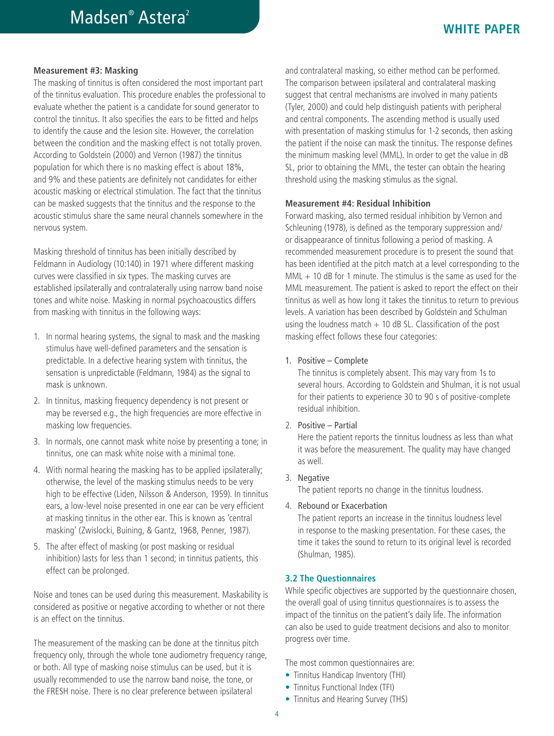#### **Measurement #3: Masking**

The masking of tinnitus is often considered the most important part of the tinnitus evaluation. This procedure enables the professional to evaluate whether the patient is a candidate for sound generator to control the tinnitus. It also specifies the ears to be fitted and helps to identify the cause and the lesion site. However, the correlation between the condition and the masking effect is not totally proven. According to Goldstein (2000) and Vernon (1987) the tinnitus population for which there is no masking effect is about 18%, and 9% and these patients are definitely not candidates for either acoustic masking or electrical stimulation. The fact that the tinnitus can be masked suggests that the tinnitus and the response to the acoustic stimulus share the same neural channels somewhere in the nervous system.

Masking threshold of tinnitus has been initially described by Feldmann in Audiology (10:140) in 1971 where different masking curves were classified in six types. The masking curves are established ipsilaterally and contralaterally using narrow band noise tones and white noise. Masking in normal psychoacoustics differs from masking with tinnitus in the following ways:

- 1. In normal hearing systems, the signal to mask and the masking stimulus have well-defined parameters and the sensation is predictable. In a defective hearing system with tinnitus, the sensation is unpredictable (Feldmann, 1984) as the signal to mask is unknown.
- 2. In tinnitus, masking frequency dependency is not present or may be reversed e.g., the high frequencies are more effective in masking low frequencies.
- 3. In normals, one cannot mask white noise by presenting a tone; in tinnitus, one can mask white noise with a minimal tone.
- 4. With normal hearing the masking has to be applied ipsilaterally; otherwise, the level of the masking stimulus needs to be very high to be effective (Liden, Nilsson & Anderson, 1959). In tinnitus ears, a low-level noise presented in one ear can be very efficient at masking tinnitus in the other ear. This is known as 'central masking' (Zwislocki, Buining, & Gantz, 1968, Penner, 1987).
- 5. The after effect of masking (or post masking or residual inhibition) lasts for less than 1 second; in tinnitus patients, this effect can be prolonged.

Noise and tones can be used during this measurement. Maskability is considered as positive or negative according to whether or not there is an effect on the tinnitus.

The measurement of the masking can be done at the tinnitus pitch frequency only, through the whole tone audiometry frequency range, or both. All type of masking noise stimulus can be used, but it is usually recommended to use the narrow band noise, the tone, or the FRESH noise. There is no clear preference between ipsilateral

and contralateral masking, so either method can be performed. The comparison between ipsilateral and contralateral masking suggest that central mechanisms are involved in many patients (Tyler, 2000) and could help distinguish patients with peripheral and central components. The ascending method is usually used with presentation of masking stimulus for 1-2 seconds, then asking the patient if the noise can mask the tinnitus. The response defines the minimum masking level (MML). In order to get the value in dB SL, prior to obtaining the MML, the tester can obtain the hearing threshold using the masking stimulus as the signal.

#### **Measurement #4: Residual Inhibition**

Forward masking, also termed residual inhibition by Vernon and Schleuning (1978), is defined as the temporary suppression and/ or disappearance of tinnitus following a period of masking. A recommended measurement procedure is to present the sound that has been identified at the pitch match at a level corresponding to the MML + 10 dB for 1 minute. The stimulus is the same as used for the MML measurement. The patient is asked to report the effect on their tinnitus as well as how long it takes the tinnitus to return to previous levels. A variation has been described by Goldstein and Schulman using the loudness match  $+$  10 dB SL. Classification of the post masking effect follows these four categories:

#### 1. Positive – Complete

The tinnitus is completely absent. This may vary from 1s to several hours. According to Goldstein and Shulman, it is not usual for their patients to experience 30 to 90 s of positive-complete residual inhibition.

2. Positive – Partial

Here the patient reports the tinnitus loudness as less than what it was before the measurement. The quality may have changed as well.

3. Negative

The patient reports no change in the tinnitus loudness.

4. Rebound or Exacerbation

The patient reports an increase in the tinnitus loudness level in response to the masking presentation. For these cases, the time it takes the sound to return to its original level is recorded (Shulman, 1985).

#### **3.2 The Questionnaires**

While specific objectives are supported by the questionnaire chosen, the overall goal of using tinnitus questionnaires is to assess the impact of the tinnitus on the patient's daily life. The information can also be used to guide treatment decisions and also to monitor progress over time.

The most common questionnaires are:

- **•** Tinnitus Handicap Inventory (THI)
- **•** Tinnitus Functional Index (TFI)
- **•** Tinnitus and Hearing Survey (THS)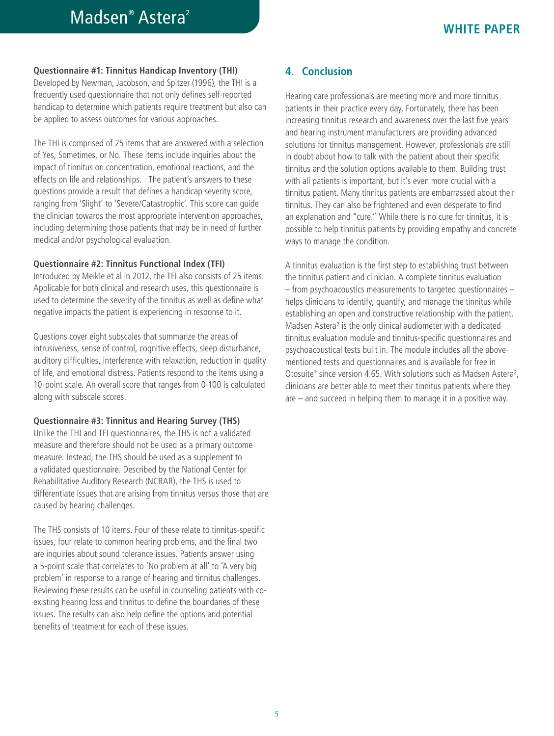# Madsen<sup>®</sup> Astera<sup>2</sup>

#### **Questionnaire #1: Tinnitus Handicap Inventory (THI)**

Developed by Newman, Jacobson, and Spitzer (1996), the THI is a frequently used questionnaire that not only defines self-reported handicap to determine which patients require treatment but also can be applied to assess outcomes for various approaches.

The THI is comprised of 25 items that are answered with a selection of Yes, Sometimes, or No. These items include inquiries about the impact of tinnitus on concentration, emotional reactions, and the effects on life and relationships. The patient's answers to these questions provide a result that defines a handicap severity score, ranging from 'Slight' to 'Severe/Catastrophic'. This score can guide the clinician towards the most appropriate intervention approaches, including determining those patients that may be in need of further medical and/or psychological evaluation.

#### **Questionnaire #2: Tinnitus Functional Index (TFI)**

Introduced by Meikle et al in 2012, the TFI also consists of 25 items. Applicable for both clinical and research uses, this questionnaire is used to determine the severity of the tinnitus as well as define what negative impacts the patient is experiencing in response to it.

Questions cover eight subscales that summarize the areas of intrusiveness, sense of control, cognitive effects, sleep disturbance, auditory difficulties, interference with relaxation, reduction in quality of life, and emotional distress. Patients respond to the items using a 10-point scale. An overall score that ranges from 0-100 is calculated along with subscale scores.

#### **Questionnaire #3: Tinnitus and Hearing Survey (THS)**

Unlike the THI and TFI questionnaires, the THS is not a validated measure and therefore should not be used as a primary outcome measure. Instead, the THS should be used as a supplement to a validated questionnaire. Described by the National Center for Rehabilitative Auditory Research (NCRAR), the THS is used to differentiate issues that are arising from tinnitus versus those that are caused by hearing challenges.

The THS consists of 10 items. Four of these relate to tinnitus-specific issues, four relate to common hearing problems, and the final two are inquiries about sound tolerance issues. Patients answer using a 5-point scale that correlates to 'No problem at all' to 'A very big problem' in response to a range of hearing and tinnitus challenges. Reviewing these results can be useful in counseling patients with coexisting hearing loss and tinnitus to define the boundaries of these issues. The results can also help define the options and potential benefits of treatment for each of these issues.

## **4. Conclusion**

Hearing care professionals are meeting more and more tinnitus patients in their practice every day. Fortunately, there has been increasing tinnitus research and awareness over the last five years and hearing instrument manufacturers are providing advanced solutions for tinnitus management. However, professionals are still in doubt about how to talk with the patient about their specific tinnitus and the solution options available to them. Building trust with all patients is important, but it's even more crucial with a tinnitus patient. Many tinnitus patients are embarrassed about their tinnitus. They can also be frightened and even desperate to find an explanation and "cure." While there is no cure for tinnitus, it is possible to help tinnitus patients by providing empathy and concrete ways to manage the condition.

A tinnitus evaluation is the first step to establishing trust between the tinnitus patient and clinician. A complete tinnitus evaluation – from psychoacoustics measurements to targeted questionnaires – helps clinicians to identify, quantify, and manage the tinnitus while establishing an open and constructive relationship with the patient. Madsen Astera² is the only clinical audiometer with a dedicated tinnitus evaluation module and tinnitus-specific questionnaires and psychoacoustical tests built in. The module includes all the abovementioned tests and questionnaires and is available for free in Otosuite® since version 4.65. With solutions such as Madsen Astera<sup>2</sup>, clinicians are better able to meet their tinnitus patients where they are – and succeed in helping them to manage it in a positive way.